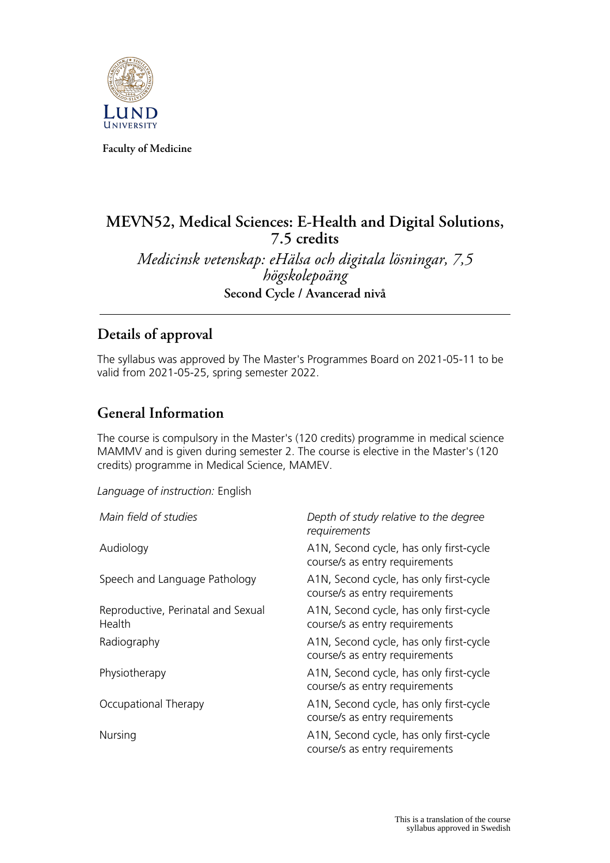

**Faculty of Medicine**

# **MEVN52, Medical Sciences: E-Health and Digital Solutions, 7.5 credits**

*Medicinsk vetenskap: eHälsa och digitala lösningar, 7,5 högskolepoäng* **Second Cycle / Avancerad nivå**

## **Details of approval**

The syllabus was approved by The Master's Programmes Board on 2021-05-11 to be valid from 2021-05-25, spring semester 2022.

## **General Information**

The course is compulsory in the Master's (120 credits) programme in medical science MAMMV and is given during semester 2. The course is elective in the Master's (120 credits) programme in Medical Science, MAMEV.

*Language of instruction:* English

| Main field of studies                        | Depth of study relative to the degree<br>requirements                     |
|----------------------------------------------|---------------------------------------------------------------------------|
| Audiology                                    | A1N, Second cycle, has only first-cycle<br>course/s as entry requirements |
| Speech and Language Pathology                | A1N, Second cycle, has only first-cycle<br>course/s as entry requirements |
| Reproductive, Perinatal and Sexual<br>Health | A1N, Second cycle, has only first-cycle<br>course/s as entry requirements |
| Radiography                                  | A1N, Second cycle, has only first-cycle<br>course/s as entry requirements |
| Physiotherapy                                | A1N, Second cycle, has only first-cycle<br>course/s as entry requirements |
| Occupational Therapy                         | A1N, Second cycle, has only first-cycle<br>course/s as entry requirements |
| Nursing                                      | A1N, Second cycle, has only first-cycle<br>course/s as entry requirements |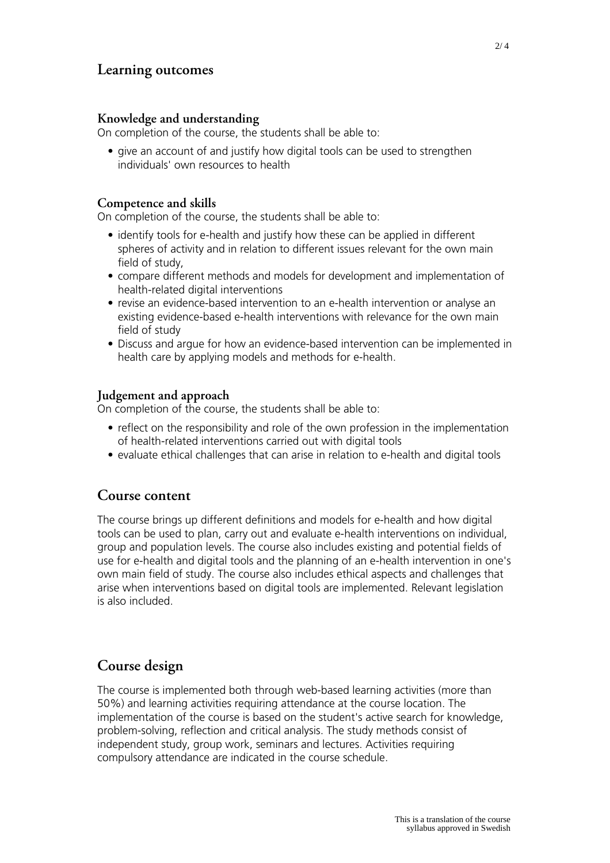## **Learning outcomes**

#### **Knowledge and understanding**

On completion of the course, the students shall be able to:

• give an account of and justify how digital tools can be used to strengthen individuals' own resources to health

#### **Competence and skills**

On completion of the course, the students shall be able to:

- identify tools for e-health and justify how these can be applied in different spheres of activity and in relation to different issues relevant for the own main field of study,
- compare different methods and models for development and implementation of health-related digital interventions
- revise an evidence-based intervention to an e-health intervention or analyse an existing evidence-based e-health interventions with relevance for the own main field of study
- Discuss and argue for how an evidence-based intervention can be implemented in health care by applying models and methods for e-health.

#### **Judgement and approach**

On completion of the course, the students shall be able to:

- reflect on the responsibility and role of the own profession in the implementation of health-related interventions carried out with digital tools
- evaluate ethical challenges that can arise in relation to e-health and digital tools

### **Course content**

The course brings up different definitions and models for e-health and how digital tools can be used to plan, carry out and evaluate e-health interventions on individual, group and population levels. The course also includes existing and potential fields of use for e-health and digital tools and the planning of an e-health intervention in one's own main field of study. The course also includes ethical aspects and challenges that arise when interventions based on digital tools are implemented. Relevant legislation is also included.

## **Course design**

The course is implemented both through web-based learning activities (more than 50%) and learning activities requiring attendance at the course location. The implementation of the course is based on the student's active search for knowledge, problem-solving, reflection and critical analysis. The study methods consist of independent study, group work, seminars and lectures. Activities requiring compulsory attendance are indicated in the course schedule.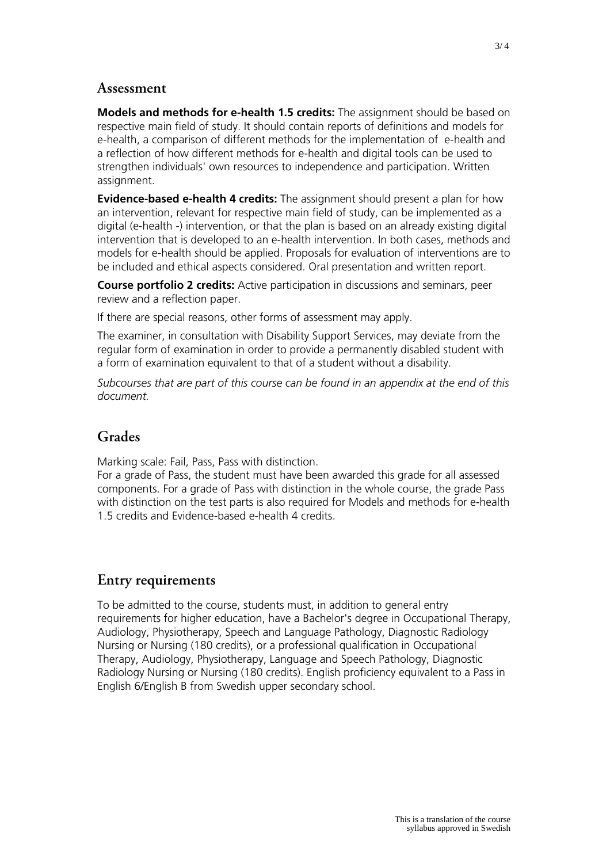### **Assessment**

**Models and methods for e-health 1.5 credits:** The assignment should be based on respective main field of study. It should contain reports of definitions and models for e-health, a comparison of different methods for the implementation of e-health and a reflection of how different methods for e-health and digital tools can be used to strengthen individuals' own resources to independence and participation. Written assignment.

**Evidence-based e-health 4 credits:** The assignment should present a plan for how an intervention, relevant for respective main field of study, can be implemented as a digital (e-health -) intervention, or that the plan is based on an already existing digital intervention that is developed to an e-health intervention. In both cases, methods and models for e-health should be applied. Proposals for evaluation of interventions are to be included and ethical aspects considered. Oral presentation and written report.

**Course portfolio 2 credits:** Active participation in discussions and seminars, peer review and a reflection paper.

If there are special reasons, other forms of assessment may apply.

The examiner, in consultation with Disability Support Services, may deviate from the regular form of examination in order to provide a permanently disabled student with a form of examination equivalent to that of a student without a disability.

*Subcourses that are part of this course can be found in an appendix at the end of this document.*

### **Grades**

Marking scale: Fail, Pass, Pass with distinction.

For a grade of Pass, the student must have been awarded this grade for all assessed components. For a grade of Pass with distinction in the whole course, the grade Pass with distinction on the test parts is also required for Models and methods for e-health 1.5 credits and Evidence-based e-health 4 credits.

## **Entry requirements**

To be admitted to the course, students must, in addition to general entry requirements for higher education, have a Bachelor's degree in Occupational Therapy, Audiology, Physiotherapy, Speech and Language Pathology, Diagnostic Radiology Nursing or Nursing (180 credits), or a professional qualification in Occupational Therapy, Audiology, Physiotherapy, Language and Speech Pathology, Diagnostic Radiology Nursing or Nursing (180 credits). English proficiency equivalent to a Pass in English 6/English B from Swedish upper secondary school.